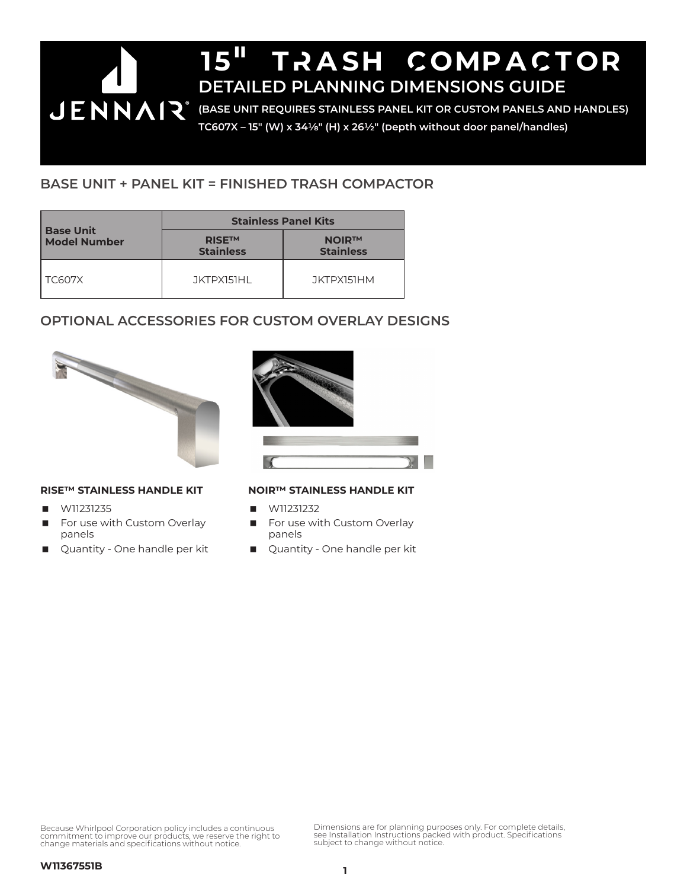# 15" TRASH COMPACTOR **DETAILED PLANNING DIMENSIONS GUIDE JENNAIR** (BASE UNIT REQUIRES STAINLESS PANEL KIT OR CUSTOM PANELS AND HANDLES) **TC607X – 15" (W) x 341/8" (H) x 261/2" (Depth without door panel/handles)**

# **BASE UNIT + PANEL KIT = FINISHED TRASH COMPACTOR**

|                                         | <b>Stainless Panel Kits</b>       |                                  |
|-----------------------------------------|-----------------------------------|----------------------------------|
| <b>Base Unit</b><br><b>Model Number</b> | <b>RISETM</b><br><b>Stainless</b> | <b>NOIR™</b><br><b>Stainless</b> |
| <b>TC607X</b>                           | JKTPX151HL                        | JKTPX151HM                       |

# **OPTIONAL ACCESSORIES FOR CUSTOM OVERLAY DESIGNS**



#### **RISE™ STAINLESS HANDLE KIT**

- W11231235
- For use with Custom Overlay panels
- Quantity One handle per kit



### **NOIR™ STAINLESS HANDLE KIT**

- W11231232
- For use with Custom Overlay panels
- Quantity One handle per kit

Because Whirlpool Corporation policy includes a continuous commitment to improve our products, we reserve the right to change materials and specifications without notice.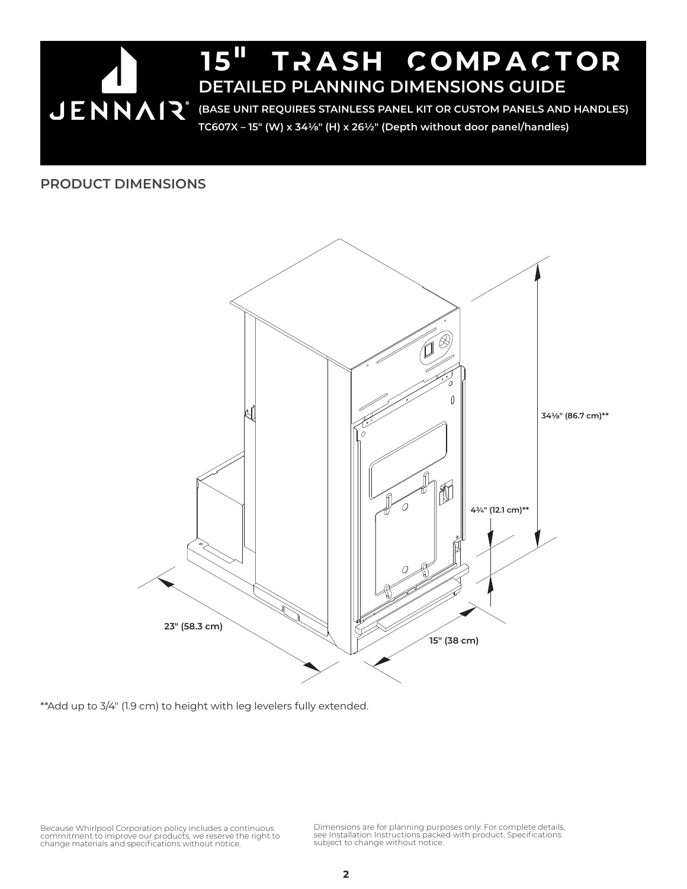

### **PRODUCT DIMENSIONS**



\*\*Add up to 3/4" (1.9 cm) to height with leg levelers fully extended.

Because Whirlpool Corporation policy includes a continuous<br>commitment to improve our products, we reserve the right to<br>change materials and specifications without notice.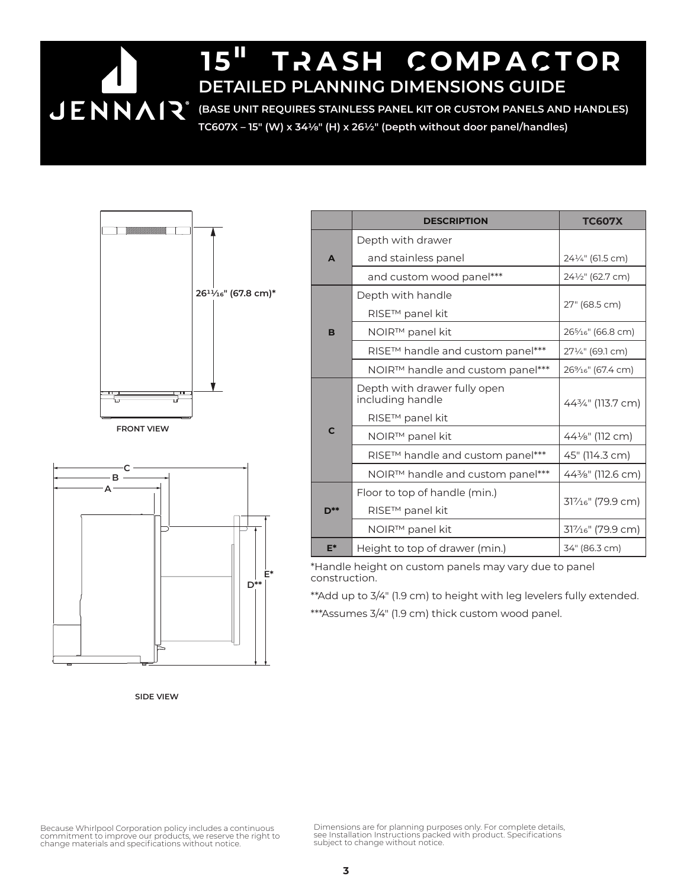# 15" TRASH COMPACTOR **DETAILED PLANNING DIMENSIONS GUIDE**

**(BASE UNIT REQUIRES STAINLESS PANEL KIT OR CUSTOM PANELS AND HANDLES) TC607X – 15" (W) x 341/8" (H) x 261/2" (Depth without door panel/handles)**





**SIDE VIEW**

|              | <b>DESCRIPTION</b>                               | <b>TC607X</b>                               |  |
|--------------|--------------------------------------------------|---------------------------------------------|--|
| A            | Depth with drawer                                |                                             |  |
|              | and stainless panel                              | 241/4" (61.5 cm)                            |  |
|              | and custom wood panel***                         | 241/2" (62.7 cm)                            |  |
| B            | Depth with handle                                | 27" (68.5 cm)                               |  |
|              | RISE™ panel kit                                  |                                             |  |
|              | NOIR™ panel kit                                  | 26 <sup>5</sup> / <sub>16</sub> " (66.8 cm) |  |
|              | RISE™ handle and custom panel***                 | 271/4" (69.1 cm)                            |  |
|              | NOIR™ handle and custom panel***                 | 26% <sub>16</sub> " (67.4 cm)               |  |
| $\mathsf{C}$ | Depth with drawer fully open<br>including handle | 443/4" (113.7 cm)                           |  |
|              | RISE™ panel kit                                  |                                             |  |
|              | NOIR™ panel kit                                  | 441/ <sub>8</sub> " (112 cm)                |  |
|              | RISE™ handle and custom panel***                 | 45" (114.3 cm)                              |  |
|              | $NOIRTM$ handle and custom panel***              | 443⁄8" (112.6 cm)                           |  |
| D**          | Floor to top of handle (min.)                    | 317/ <sub>16</sub> " (79.9 cm)              |  |
|              | RISE™ panel kit                                  |                                             |  |
|              | NOIR™ panel kit                                  | $31\%$ <sup>e"</sup> (79.9 cm)              |  |
| $E^*$        | Height to top of drawer (min.)                   | 34" (86.3 cm)                               |  |

\*Handle height on custom panels may vary due to panel construction.

\*\*Add up to 3/4" (1.9 cm) to height with leg levelers fully extended.

\*\*\*Assumes 3/4" (1.9 cm) thick custom wood panel.

Because Whirlpool Corporation policy includes a continuous<br>commitment to improve our products, we reserve the right to<br>change materials and specifications without notice.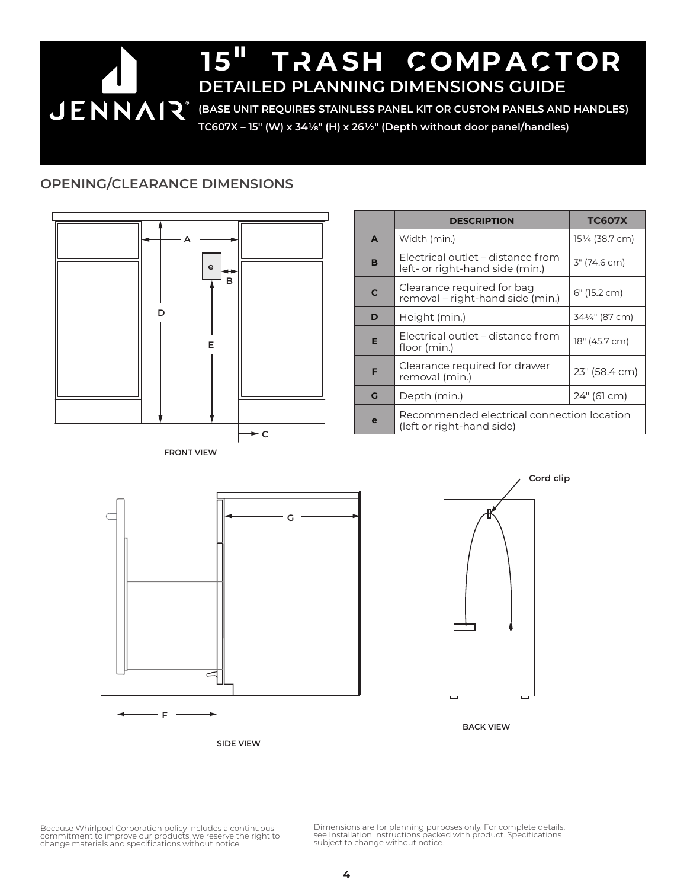# 15" tRash CompaCtor **DETAILED PLANNING DIMENSIONS GUIDE JENNAIR** (BASE UNIT REQUIRES STAINLESS PANEL KIT OR CUSTOM PANELS AND HANDLES) **TC607X – 15" (W) x 341/8" (H) x 261/2" (Depth without door panel/handles)**

### **OPENING/CLEARANCE DIMENSIONS**



|   | <b>DESCRIPTION</b>                                                      | <b>TC607X</b> |
|---|-------------------------------------------------------------------------|---------------|
| A | Width (min.)                                                            | 15½ (38.7 cm) |
| B | Electrical outlet – distance from<br>left- or right-hand side (min.)    | 3" (74.6 cm)  |
| C | Clearance required for bag<br>removal – right-hand side (min.)          | 6" (15.2 cm)  |
| D | Height (min.)                                                           | 34¼" (87 cm)  |
| E | Electrical outlet – distance from<br>floor (min.)                       | 18" (45.7 cm) |
| F | Clearance required for drawer<br>removal (min.)                         | 23" (58.4 cm) |
| G | Depth (min.)                                                            | 24" (61 cm)   |
| e | Recommended electrical connection location<br>(left or right-hand side) |               |





**BACK VIEW**

Because Whirlpool Corporation policy includes a continuous<br>commitment to improve our products, we reserve the right to<br>change materials and specifications without notice.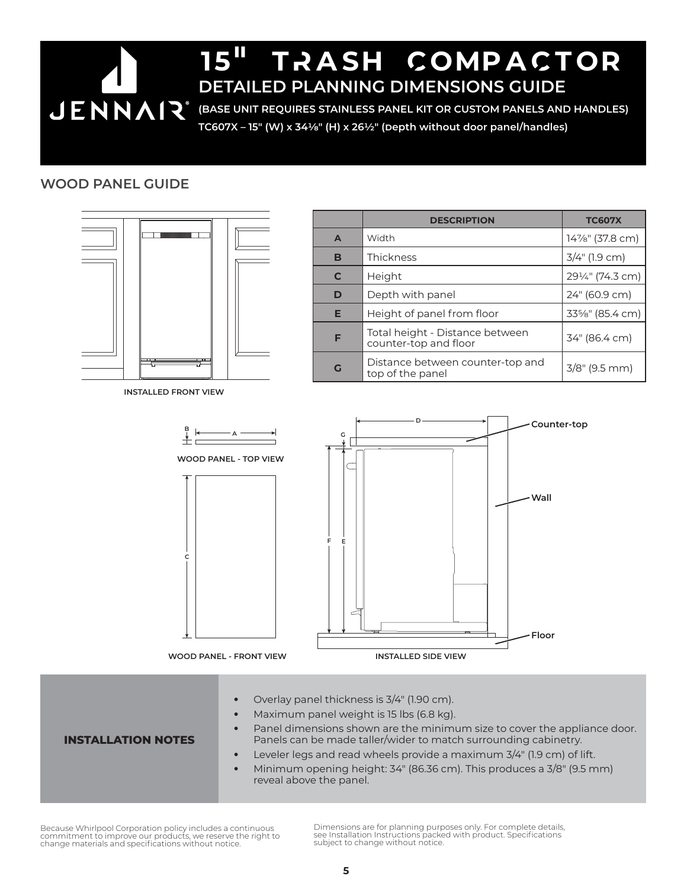# 15" tRash CompaCtor **DETAILED PLANNING DIMENSIONS GUIDE JENNAIR** (BASE UNIT REQUIRES STAINLESS PANEL KIT OR CUSTOM PANELS AND HANDLES) **TC607X – 15" (W) x 341/8" (H) x 261/2" (Depth without door panel/handles)**

### **WOOD PANEL GUIDE**



Panel dimensions shown are the minimum size to cover the appliance door. Panels can be made taller/wider to match surrounding cabinetry.

#### Leveler legs and read wheels provide a maximum 3/4" (1.9 cm) of lift.

Minimum opening height: 34" (86.36 cm). This produces a 3/8" (9.5 mm) reveal above the panel.

Because Whirlpool Corporation policy includes a continuous commitment to improve our products, we reserve the right to change materials and specifications without notice.

**INSTALLATION NOTES**